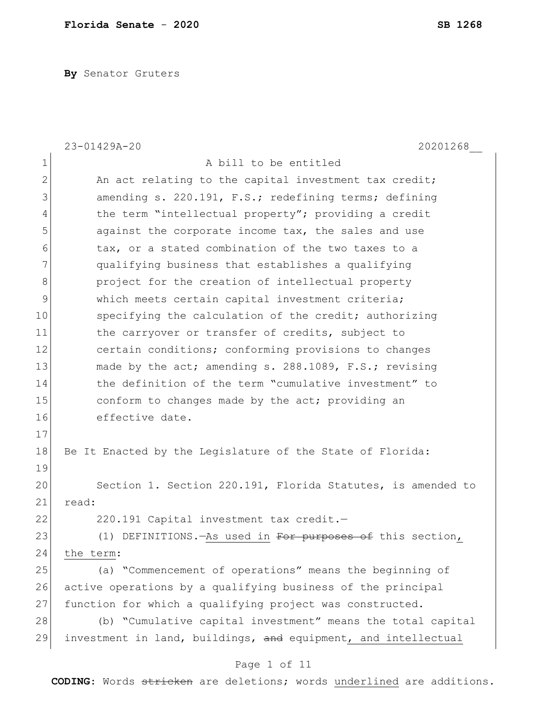**By** Senator Gruters

|              | 23-01429A-20<br>20201268                                       |
|--------------|----------------------------------------------------------------|
| $\mathbf 1$  | A bill to be entitled                                          |
| $\mathbf{2}$ | An act relating to the capital investment tax credit;          |
| 3            | amending s. 220.191, F.S.; redefining terms; defining          |
| 4            | the term "intellectual property"; providing a credit           |
| 5            | against the corporate income tax, the sales and use            |
| 6            | tax, or a stated combination of the two taxes to a             |
| 7            | qualifying business that establishes a qualifying              |
| $\,8\,$      | project for the creation of intellectual property              |
| 9            | which meets certain capital investment criteria;               |
| 10           | specifying the calculation of the credit; authorizing          |
| 11           | the carryover or transfer of credits, subject to               |
| 12           | certain conditions; conforming provisions to changes           |
| 13           | made by the act; amending s. 288.1089, F.S.; revising          |
| 14           | the definition of the term "cumulative investment" to          |
| 15           | conform to changes made by the act; providing an               |
| 16           | effective date.                                                |
| 17           |                                                                |
| 18           | Be It Enacted by the Legislature of the State of Florida:      |
| 19           |                                                                |
| 20           | Section 1. Section 220.191, Florida Statutes, is amended to    |
| 21           | read:                                                          |
| 22           | 220.191 Capital investment tax credit.-                        |
| 23           | (1) DEFINITIONS. - As used in For purposes of this section,    |
| 24           | the term:                                                      |
| 25           | (a) "Commencement of operations" means the beginning of        |
| 26           | active operations by a qualifying business of the principal    |
| 27           | function for which a qualifying project was constructed.       |
| 28           | (b) "Cumulative capital investment" means the total capital    |
| 29           | investment in land, buildings, and equipment, and intellectual |
|              | Page 1 of 11                                                   |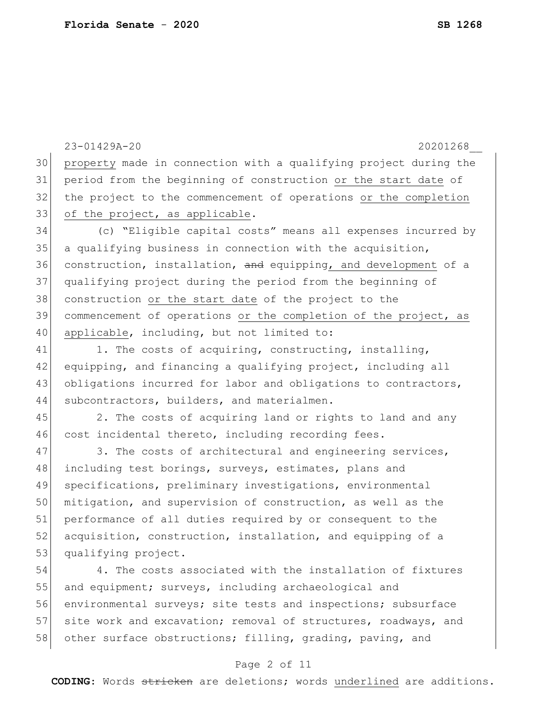23-01429A-20 20201268\_\_ 30 property made in connection with a qualifying project during the 31 period from the beginning of construction or the start date of 32 the project to the commencement of operations or the completion 33 of the project, as applicable. 34 (c) "Eligible capital costs" means all expenses incurred by 35 a qualifying business in connection with the acquisition, 36 construction, installation, and equipping, and development of a 37 qualifying project during the period from the beginning of 38 construction or the start date of the project to the 39 commencement of operations or the completion of the project, as 40 applicable, including, but not limited to: 41 1. The costs of acquiring, constructing, installing, 42 equipping, and financing a qualifying project, including all 43 obligations incurred for labor and obligations to contractors, 44 subcontractors, builders, and materialmen. 45 2. The costs of acquiring land or rights to land and any 46 cost incidental thereto, including recording fees. 47 3. The costs of architectural and engineering services, 48 including test borings, surveys, estimates, plans and 49 specifications, preliminary investigations, environmental 50 mitigation, and supervision of construction, as well as the 51 performance of all duties required by or consequent to the 52 acquisition, construction, installation, and equipping of a 53 qualifying project. 54 4. The costs associated with the installation of fixtures 55 and equipment; surveys, including archaeological and 56 environmental surveys; site tests and inspections; subsurface 57 site work and excavation; removal of structures, roadways, and 58 other surface obstructions; filling, grading, paving, and

### Page 2 of 11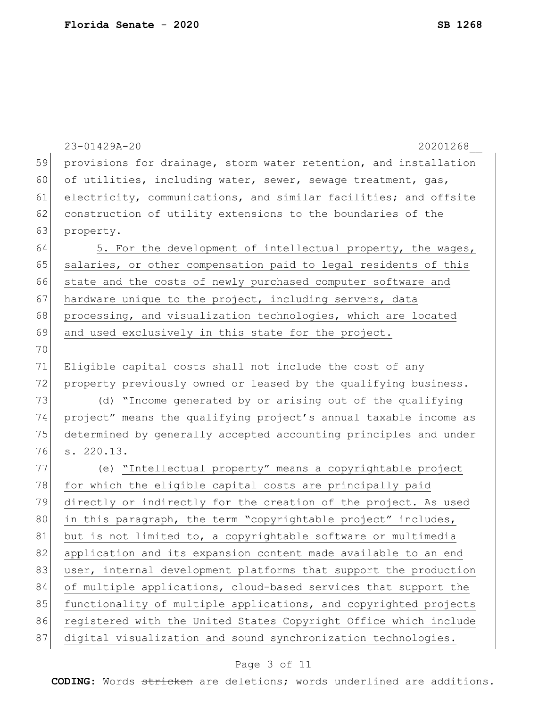|    | 23-01429A-20<br>20201268                                         |
|----|------------------------------------------------------------------|
| 59 | provisions for drainage, storm water retention, and installation |
| 60 | of utilities, including water, sewer, sewage treatment, gas,     |
| 61 | electricity, communications, and similar facilities; and offsite |
| 62 | construction of utility extensions to the boundaries of the      |
| 63 | property.                                                        |
| 64 | 5. For the development of intellectual property, the wages,      |
| 65 | salaries, or other compensation paid to legal residents of this  |
| 66 | state and the costs of newly purchased computer software and     |
| 67 | hardware unique to the project, including servers, data          |
| 68 | processing, and visualization technologies, which are located    |
| 69 | and used exclusively in this state for the project.              |
| 70 |                                                                  |
| 71 | Eligible capital costs shall not include the cost of any         |
| 72 | property previously owned or leased by the qualifying business.  |
| 73 | (d) "Income generated by or arising out of the qualifying        |
| 74 | project" means the qualifying project's annual taxable income as |
| 75 | determined by generally accepted accounting principles and under |
| 76 | s. 220.13.                                                       |
| 77 | (e) "Intellectual property" means a copyrightable project        |
| 78 | for which the eligible capital costs are principally paid        |
| 79 | directly or indirectly for the creation of the project. As used  |
| 80 | in this paragraph, the term "copyrightable project" includes,    |
| 81 | but is not limited to, a copyrightable software or multimedia    |
| 82 | application and its expansion content made available to an end   |
| 83 | user, internal development platforms that support the production |
| 84 | of multiple applications, cloud-based services that support the  |
| 85 | functionality of multiple applications, and copyrighted projects |
| 86 | registered with the United States Copyright Office which include |
| 87 | digital visualization and sound synchronization technologies.    |
|    |                                                                  |

# Page 3 of 11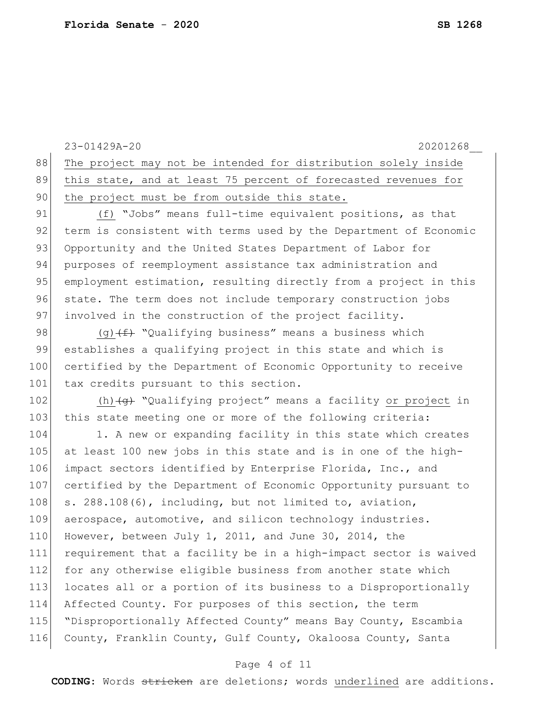|     | 23-01429A-20<br>20201268                                                |
|-----|-------------------------------------------------------------------------|
| 88  | The project may not be intended for distribution solely inside          |
| 89  | this state, and at least 75 percent of forecasted revenues for          |
| 90  | the project must be from outside this state.                            |
| 91  | (f) "Jobs" means full-time equivalent positions, as that                |
| 92  | term is consistent with terms used by the Department of Economic        |
| 93  | Opportunity and the United States Department of Labor for               |
| 94  | purposes of reemployment assistance tax administration and              |
| 95  | employment estimation, resulting directly from a project in this        |
| 96  | state. The term does not include temporary construction jobs            |
| 97  | involved in the construction of the project facility.                   |
| 98  | (g) $(f)$ "Qualifying business" means a business which                  |
| 99  | establishes a qualifying project in this state and which is             |
| 100 | certified by the Department of Economic Opportunity to receive          |
| 101 | tax credits pursuant to this section.                                   |
| 102 | (h) $\overline{+g}$ "Qualifying project" means a facility or project in |
| 103 | this state meeting one or more of the following criteria:               |
| 104 | 1. A new or expanding facility in this state which creates              |
| 105 | at least 100 new jobs in this state and is in one of the high-          |
| 106 | impact sectors identified by Enterprise Florida, Inc., and              |
| 107 | certified by the Department of Economic Opportunity pursuant to         |
| 108 | s. 288.108(6), including, but not limited to, aviation,                 |
| 109 | aerospace, automotive, and silicon technology industries.               |
| 110 | However, between July 1, 2011, and June 30, 2014, the                   |
| 111 | requirement that a facility be in a high-impact sector is waived        |
| 112 | for any otherwise eligible business from another state which            |
| 113 | locates all or a portion of its business to a Disproportionally         |
| 114 | Affected County. For purposes of this section, the term                 |
| 115 | "Disproportionally Affected County" means Bay County, Escambia          |
| 116 | County, Franklin County, Gulf County, Okaloosa County, Santa            |
|     |                                                                         |

# Page 4 of 11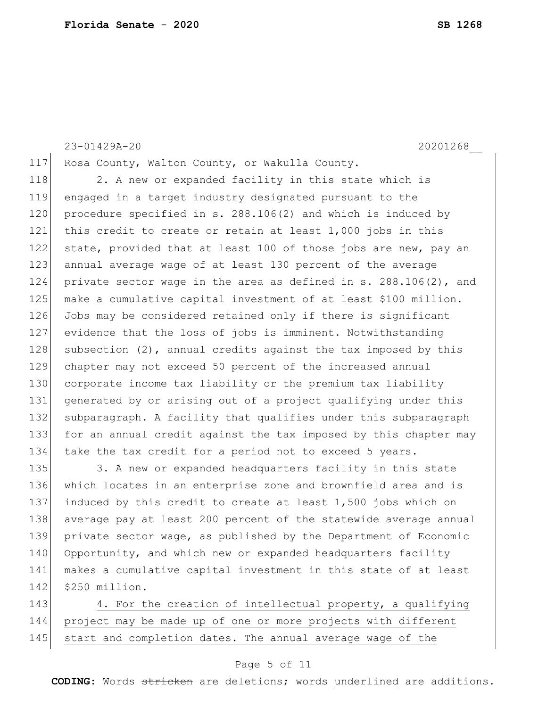## 23-01429A-20 20201268\_\_

118 2. A new or expanded facility in this state which is engaged in a target industry designated pursuant to the 120 procedure specified in s. 288.106(2) and which is induced by this credit to create or retain at least 1,000 jobs in this 122 state, provided that at least 100 of those jobs are new, pay an annual average wage of at least 130 percent of the average private sector wage in the area as defined in s. 288.106(2), and make a cumulative capital investment of at least \$100 million. Jobs may be considered retained only if there is significant evidence that the loss of jobs is imminent. Notwithstanding 128 subsection  $(2)$ , annual credits against the tax imposed by this chapter may not exceed 50 percent of the increased annual corporate income tax liability or the premium tax liability generated by or arising out of a project qualifying under this 132 subparagraph. A facility that qualifies under this subparagraph for an annual credit against the tax imposed by this chapter may 134 take the tax credit for a period not to exceed 5 years.

117 Rosa County, Walton County, or Wakulla County.

135 3. A new or expanded headquarters facility in this state 136 which locates in an enterprise zone and brownfield area and is 137 induced by this credit to create at least 1,500 jobs which on 138 average pay at least 200 percent of the statewide average annual 139 private sector wage, as published by the Department of Economic 140 Opportunity, and which new or expanded headquarters facility 141 makes a cumulative capital investment in this state of at least 142 \$250 million.

143 4. For the creation of intellectual property, a qualifying 144 project may be made up of one or more projects with different 145 start and completion dates. The annual average wage of the

## Page 5 of 11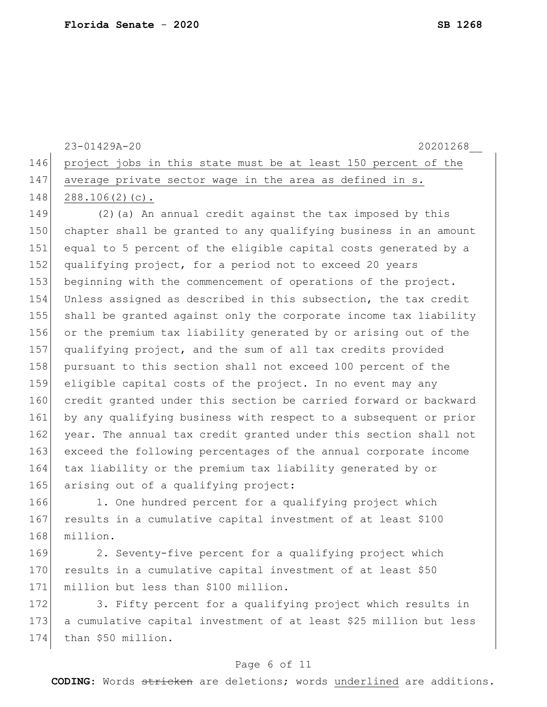| 20201268<br>$23 - 01429$ A $-20$                                   |
|--------------------------------------------------------------------|
| 146 project jobs in this state must be at least 150 percent of the |
| 147 average private sector wage in the area as defined in s.       |
| $148$ $288.106(2)(c)$ .                                            |

 (2)(a) An annual credit against the tax imposed by this chapter shall be granted to any qualifying business in an amount equal to 5 percent of the eligible capital costs generated by a 152 qualifying project, for a period not to exceed 20 years beginning with the commencement of operations of the project. Unless assigned as described in this subsection, the tax credit shall be granted against only the corporate income tax liability or the premium tax liability generated by or arising out of the qualifying project, and the sum of all tax credits provided 158 pursuant to this section shall not exceed 100 percent of the eligible capital costs of the project. In no event may any credit granted under this section be carried forward or backward 161 by any qualifying business with respect to a subsequent or prior 162 year. The annual tax credit granted under this section shall not exceed the following percentages of the annual corporate income tax liability or the premium tax liability generated by or 165 arising out of a qualifying project:

166 1. One hundred percent for a qualifying project which 167 results in a cumulative capital investment of at least \$100 168 million.

169 2. Seventy-five percent for a qualifying project which 170 results in a cumulative capital investment of at least \$50 171 million but less than \$100 million.

172 3. Fifty percent for a qualifying project which results in 173 a cumulative capital investment of at least \$25 million but less 174 than \$50 million.

## Page 6 of 11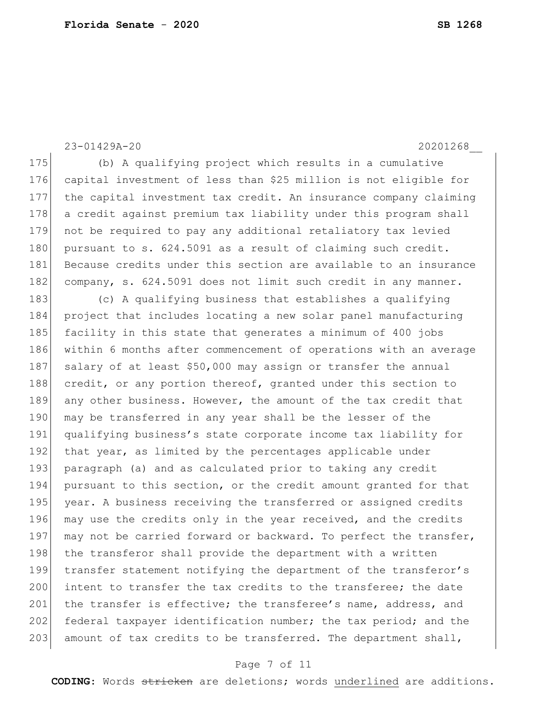175 (b) A qualifying project which results in a cumulative 176 capital investment of less than \$25 million is not eligible for 177 the capital investment tax credit. An insurance company claiming 178 a credit against premium tax liability under this program shall 179 not be required to pay any additional retaliatory tax levied 180 pursuant to s. 624.5091 as a result of claiming such credit. 181 Because credits under this section are available to an insurance 182 company, s. 624.5091 does not limit such credit in any manner. 183 (c) A qualifying business that establishes a qualifying 184 project that includes locating a new solar panel manufacturing 185 facility in this state that generates a minimum of 400 jobs 186 within 6 months after commencement of operations with an average 187 salary of at least \$50,000 may assign or transfer the annual 188 credit, or any portion thereof, granted under this section to 189 any other business. However, the amount of the tax credit that 190 may be transferred in any year shall be the lesser of the 191 qualifying business's state corporate income tax liability for 192 that year, as limited by the percentages applicable under 193 paragraph (a) and as calculated prior to taking any credit 194 pursuant to this section, or the credit amount granted for that 195 year. A business receiving the transferred or assigned credits 196 may use the credits only in the year received, and the credits 197 may not be carried forward or backward. To perfect the transfer, 198 the transferor shall provide the department with a written 199 transfer statement notifying the department of the transferor's 200 intent to transfer the tax credits to the transferee; the date 201 the transfer is effective; the transferee's name, address, and 202 federal taxpayer identification number; the tax period; and the 203 amount of tax credits to be transferred. The department shall,

## 23-01429A-20 20201268\_\_

Page 7 of 11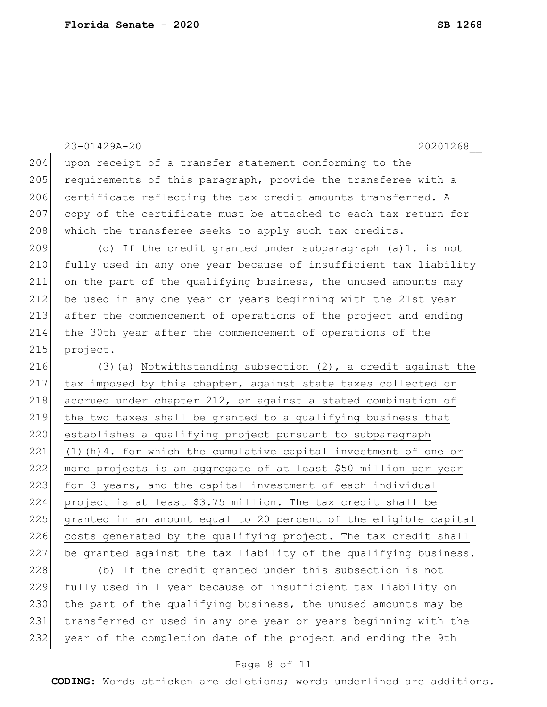|     | 23-01429A-20<br>20201268                                           |
|-----|--------------------------------------------------------------------|
| 204 | upon receipt of a transfer statement conforming to the             |
| 205 | requirements of this paragraph, provide the transferee with a      |
| 206 | certificate reflecting the tax credit amounts transferred. A       |
| 207 | copy of the certificate must be attached to each tax return for    |
| 208 | which the transferee seeks to apply such tax credits.              |
| 209 | (d) If the credit granted under subparagraph (a)1. is not          |
| 210 | fully used in any one year because of insufficient tax liability   |
| 211 | on the part of the qualifying business, the unused amounts may     |
| 212 | be used in any one year or years beginning with the 21st year      |
| 213 | after the commencement of operations of the project and ending     |
| 214 | the 30th year after the commencement of operations of the          |
| 215 | project.                                                           |
| 216 | $(3)$ (a) Notwithstanding subsection $(2)$ , a credit against the  |
| 217 | tax imposed by this chapter, against state taxes collected or      |
| 218 | accrued under chapter 212, or against a stated combination of      |
| 219 | the two taxes shall be granted to a qualifying business that       |
| 220 | establishes a qualifying project pursuant to subparagraph          |
| 221 | $(1)$ (h) 4. for which the cumulative capital investment of one or |
| 222 | more projects is an aggregate of at least \$50 million per year    |
| 223 | for 3 years, and the capital investment of each individual         |
| 224 | project is at least \$3.75 million. The tax credit shall be        |
| 225 | granted in an amount equal to 20 percent of the eligible capital   |
| 226 | costs generated by the qualifying project. The tax credit shall    |
| 227 | be granted against the tax liability of the qualifying business.   |
| 228 | (b) If the credit granted under this subsection is not             |
| 229 | fully used in 1 year because of insufficient tax liability on      |
| 230 | the part of the qualifying business, the unused amounts may be     |
| 231 | transferred or used in any one year or years beginning with the    |
| 232 | year of the completion date of the project and ending the 9th      |

# Page 8 of 11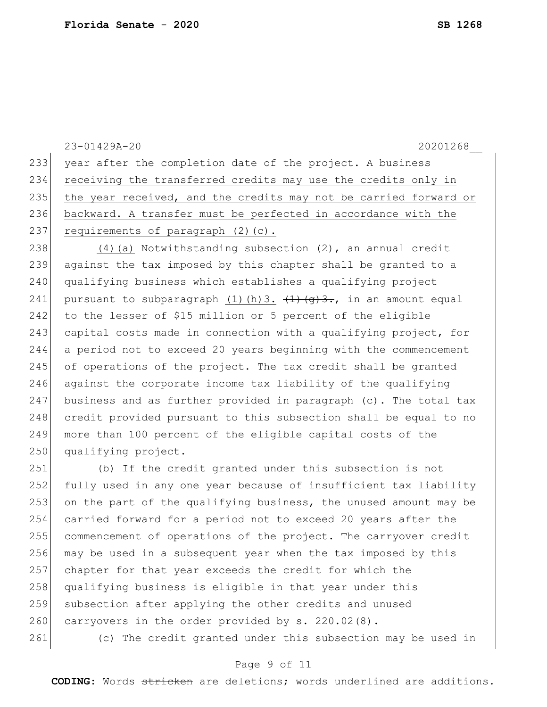23-01429A-20 20201268\_\_ 233 year after the completion date of the project. A business 234 receiving the transferred credits may use the credits only in 235 the year received, and the credits may not be carried forward or 236 backward. A transfer must be perfected in accordance with the 237 requirements of paragraph  $(2)(c)$ . 238 (4) (a) Notwithstanding subsection (2), an annual credit 239 against the tax imposed by this chapter shall be granted to a 240 qualifying business which establishes a qualifying project 241 pursuant to subparagraph (1)(h)3.  $\left(1\right)\left(\frac{1}{9}\right)$ ., in an amount equal 242 to the lesser of \$15 million or 5 percent of the eligible 243 capital costs made in connection with a qualifying project, for 244 a period not to exceed 20 years beginning with the commencement 245 of operations of the project. The tax credit shall be granted 246 against the corporate income tax liability of the qualifying 247 business and as further provided in paragraph (c). The total tax 248 credit provided pursuant to this subsection shall be equal to no 249 more than 100 percent of the eligible capital costs of the 250 qualifying project. 251 (b) If the credit granted under this subsection is not 252 fully used in any one year because of insufficient tax liability 253 on the part of the qualifying business, the unused amount may be 254 carried forward for a period not to exceed 20 years after the 255 commencement of operations of the project. The carryover credit 256 may be used in a subsequent year when the tax imposed by this 257 chapter for that year exceeds the credit for which the 258 qualifying business is eligible in that year under this 259 subsection after applying the other credits and unused 260 carryovers in the order provided by s. 220.02(8). 261 (c) The credit granted under this subsection may be used in

### Page 9 of 11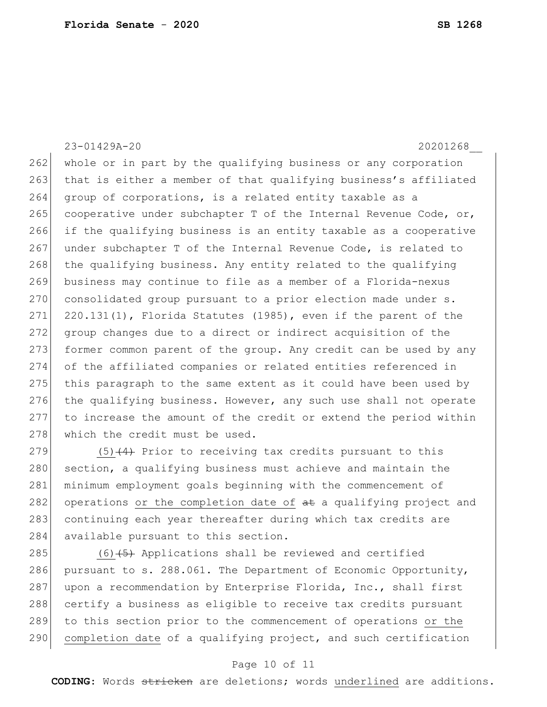23-01429A-20 20201268\_\_ 262 whole or in part by the qualifying business or any corporation 263 that is either a member of that qualifying business's affiliated 264 group of corporations, is a related entity taxable as a 265 cooperative under subchapter T of the Internal Revenue Code, or, 266 if the qualifying business is an entity taxable as a cooperative 267 under subchapter T of the Internal Revenue Code, is related to 268 the qualifying business. Any entity related to the qualifying 269 business may continue to file as a member of a Florida-nexus 270 consolidated group pursuant to a prior election made under s.  $271$   $220.131(1)$ , Florida Statutes (1985), even if the parent of the 272 group changes due to a direct or indirect acquisition of the 273 former common parent of the group. Any credit can be used by any 274 of the affiliated companies or related entities referenced in 275 this paragraph to the same extent as it could have been used by 276 the qualifying business. However, any such use shall not operate 277 to increase the amount of the credit or extend the period within 278 which the credit must be used. 279  $(5)$  (4) Prior to receiving tax credits pursuant to this

280 section, a qualifying business must achieve and maintain the 281 minimum employment goals beginning with the commencement of 282 operations or the completion date of  $a$ t a qualifying project and 283 continuing each year thereafter during which tax credits are 284 available pursuant to this section.

 $(6)$   $(5)$  Applications shall be reviewed and certified pursuant to s. 288.061. The Department of Economic Opportunity, 287 upon a recommendation by Enterprise Florida, Inc., shall first certify a business as eligible to receive tax credits pursuant to this section prior to the commencement of operations or the completion date of a qualifying project, and such certification

### Page 10 of 11